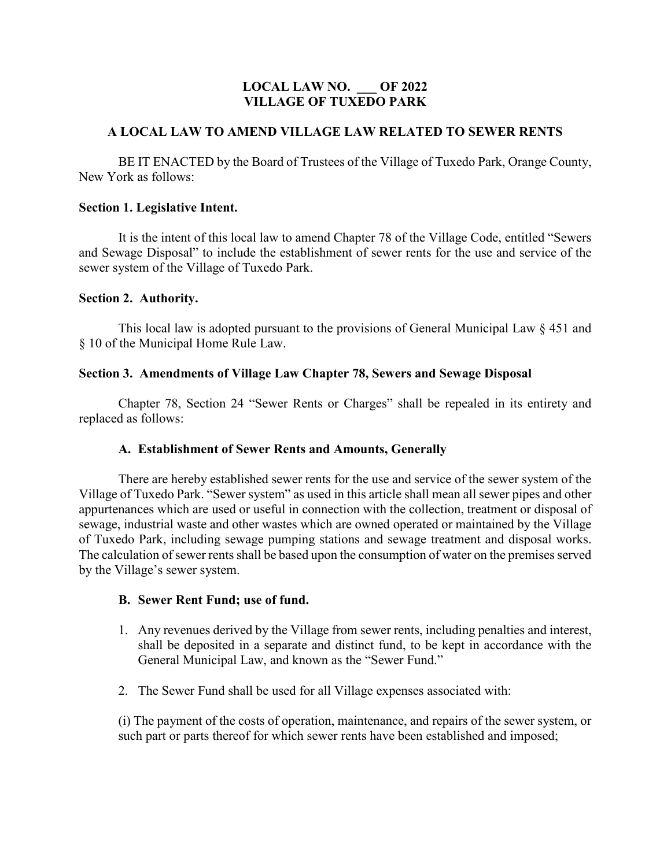# **LOCAL LAW NO. \_\_\_ OF 2022 VILLAGE OF TUXEDO PARK**

### **A LOCAL LAW TO AMEND VILLAGE LAW RELATED TO SEWER RENTS**

BE IT ENACTED by the Board of Trustees of the Village of Tuxedo Park, Orange County, New York as follows:

### **Section 1. Legislative Intent.**

It is the intent of this local law to amend Chapter 78 of the Village Code, entitled "Sewers and Sewage Disposal" to include the establishment of sewer rents for the use and service of the sewer system of the Village of Tuxedo Park.

#### **Section 2. Authority.**

This local law is adopted pursuant to the provisions of General Municipal Law § 451 and § 10 of the Municipal Home Rule Law.

### **Section 3. Amendments of Village Law Chapter 78, Sewers and Sewage Disposal**

Chapter 78, Section 24 "Sewer Rents or Charges" shall be repealed in its entirety and replaced as follows:

### **A. Establishment of Sewer Rents and Amounts, Generally**

There are hereby established sewer rents for the use and service of the sewer system of the Village of Tuxedo Park. "Sewer system" as used in this article shall mean all sewer pipes and other appurtenances which are used or useful in connection with the collection, treatment or disposal of sewage, industrial waste and other wastes which are owned operated or maintained by the Village of Tuxedo Park, including sewage pumping stations and sewage treatment and disposal works. The calculation of sewer rents shall be based upon the consumption of water on the premises served by the Village's sewer system.

### **B. Sewer Rent Fund; use of fund.**

- 1. Any revenues derived by the Village from sewer rents, including penalties and interest, shall be deposited in a separate and distinct fund, to be kept in accordance with the General Municipal Law, and known as the "Sewer Fund."
- 2. The Sewer Fund shall be used for all Village expenses associated with:

(i) The payment of the costs of operation, maintenance, and repairs of the sewer system, or such part or parts thereof for which sewer rents have been established and imposed;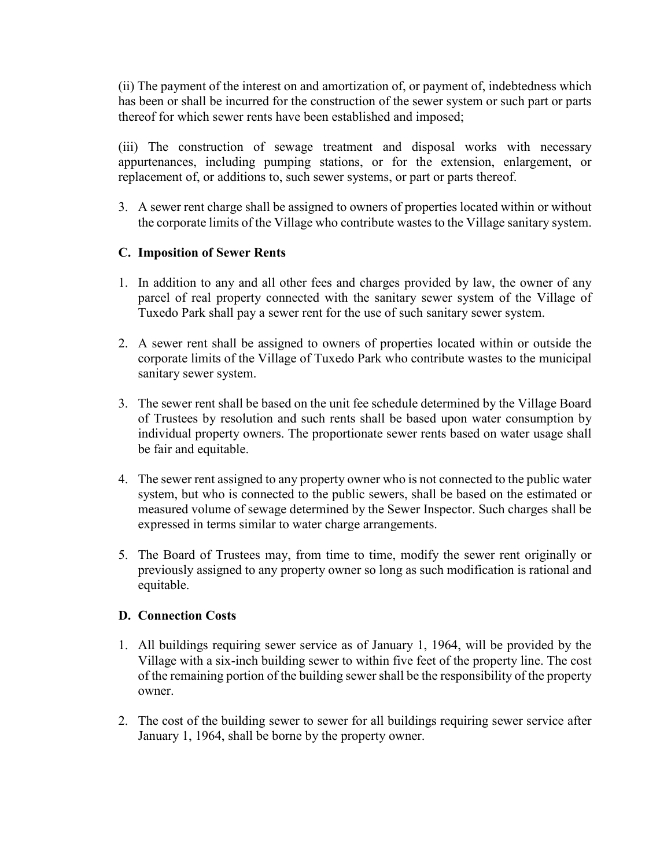(ii) The payment of the interest on and amortization of, or payment of, indebtedness which has been or shall be incurred for the construction of the sewer system or such part or parts thereof for which sewer rents have been established and imposed;

(iii) The construction of sewage treatment and disposal works with necessary appurtenances, including pumping stations, or for the extension, enlargement, or replacement of, or additions to, such sewer systems, or part or parts thereof.

3. A sewer rent charge shall be assigned to owners of properties located within or without the corporate limits of the Village who contribute wastes to the Village sanitary system.

# **C. Imposition of Sewer Rents**

- 1. In addition to any and all other fees and charges provided by law, the owner of any parcel of real property connected with the sanitary sewer system of the Village of Tuxedo Park shall pay a sewer rent for the use of such sanitary sewer system.
- 2. A sewer rent shall be assigned to owners of properties located within or outside the corporate limits of the Village of Tuxedo Park who contribute wastes to the municipal sanitary sewer system.
- 3. The sewer rent shall be based on the unit fee schedule determined by the Village Board of Trustees by resolution and such rents shall be based upon water consumption by individual property owners. The proportionate sewer rents based on water usage shall be fair and equitable.
- 4. The sewer rent assigned to any property owner who is not connected to the public water system, but who is connected to the public sewers, shall be based on the estimated or measured volume of sewage determined by the Sewer Inspector. Such charges shall be expressed in terms similar to water charge arrangements.
- 5. The Board of Trustees may, from time to time, modify the sewer rent originally or previously assigned to any property owner so long as such modification is rational and equitable.

# **D. Connection Costs**

- 1. All buildings requiring sewer service as of January 1, 1964, will be provided by the Village with a six-inch building sewer to within five feet of the property line. The cost of the remaining portion of the building sewer shall be the responsibility of the property owner.
- 2. The cost of the building sewer to sewer for all buildings requiring sewer service after January 1, 1964, shall be borne by the property owner.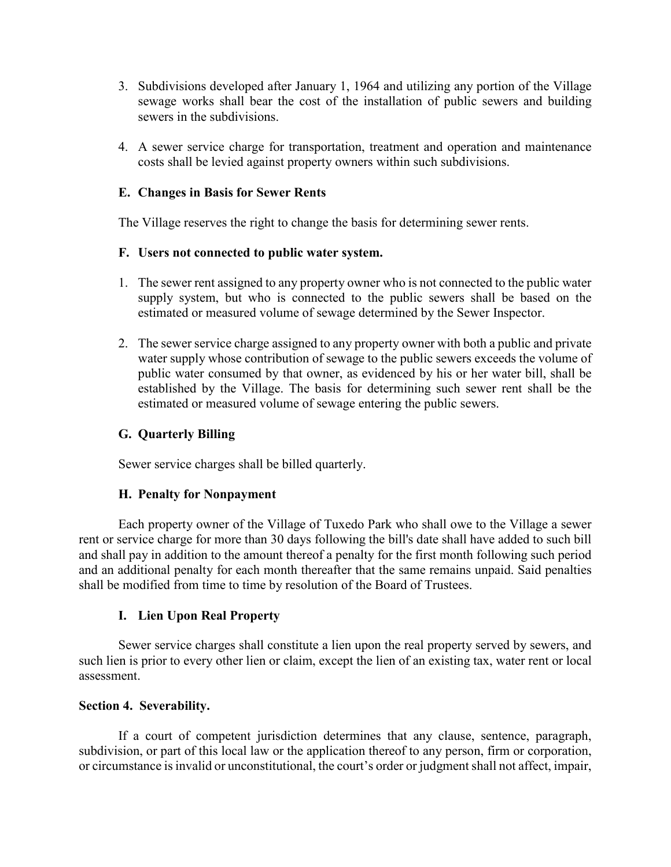- 3. Subdivisions developed after January 1, 1964 and utilizing any portion of the Village sewage works shall bear the cost of the installation of public sewers and building sewers in the subdivisions.
- 4. A sewer service charge for transportation, treatment and operation and maintenance costs shall be levied against property owners within such subdivisions.

### **E. Changes in Basis for Sewer Rents**

The Village reserves the right to change the basis for determining sewer rents.

### **F. Users not connected to public water system.**

- 1. The sewer rent assigned to any property owner who is not connected to the public water supply system, but who is connected to the public sewers shall be based on the estimated or measured volume of sewage determined by the Sewer Inspector.
- 2. The sewer service charge assigned to any property owner with both a public and private water supply whose contribution of sewage to the public sewers exceeds the volume of public water consumed by that owner, as evidenced by his or her water bill, shall be established by the Village. The basis for determining such sewer rent shall be the estimated or measured volume of sewage entering the public sewers.

### **G. Quarterly Billing**

Sewer service charges shall be billed quarterly.

### **H. Penalty for Nonpayment**

Each property owner of the Village of Tuxedo Park who shall owe to the Village a sewer rent or service charge for more than 30 days following the bill's date shall have added to such bill and shall pay in addition to the amount thereof a penalty for the first month following such period and an additional penalty for each month thereafter that the same remains unpaid. Said penalties shall be modified from time to time by resolution of the Board of Trustees.

### **I. Lien Upon Real Property**

Sewer service charges shall constitute a lien upon the real property served by sewers, and such lien is prior to every other lien or claim, except the lien of an existing tax, water rent or local assessment.

### **Section 4. Severability.**

If a court of competent jurisdiction determines that any clause, sentence, paragraph, subdivision, or part of this local law or the application thereof to any person, firm or corporation, or circumstance is invalid or unconstitutional, the court's order or judgment shall not affect, impair,